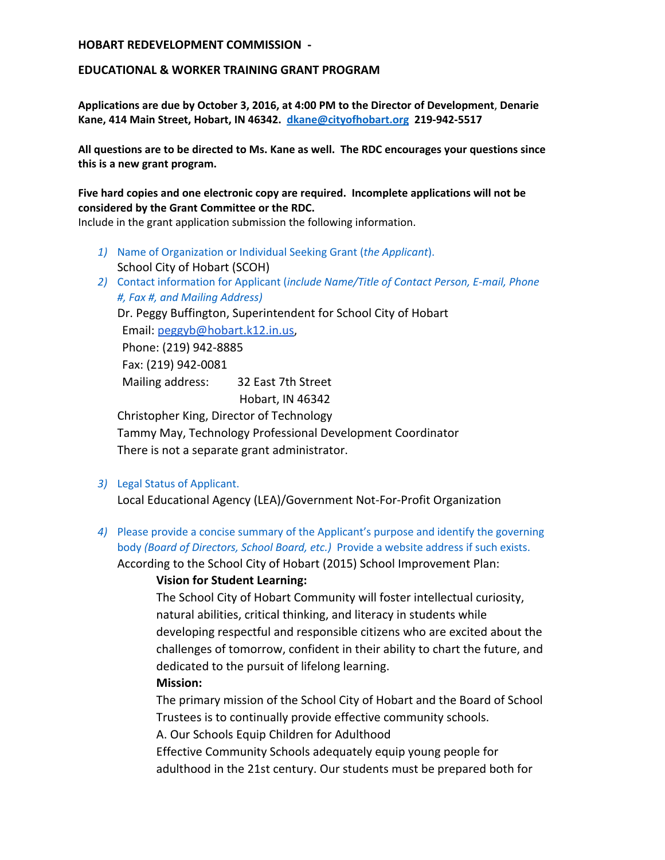#### **EDUCATIONAL & WORKER TRAINING GRANT PROGRAM**

**Applications are due by October 3, 2016, at 4:00 PM to the Director of Development**, **Denarie Kane, 414 Main Street, Hobart, IN 46342. [dkane@cityofhobart.org](mailto:dkane@cityofhobart.org) 219-942-5517**

**All questions are to be directed to Ms. Kane as well. The RDC encourages your questions since this is a new grant program.**

**Five hard copies and one electronic copy are required. Incomplete applications will not be considered by the Grant Committee or the RDC.**

Include in the grant application submission the following information.

- *1)* Name of Organization or Individual Seeking Grant (*the Applicant*). School City of Hobart (SCOH)
- *2)* Contact information for Applicant (*include Name/Title of Contact Person, E-mail, Phone #, Fax #, and Mailing Address)*

Dr. Peggy Buffington, Superintendent for School City of Hobart

Email: [peggyb@hobart.k12.in.us,](mailto:peggyb@hobart.k12.in.us)

Phone: (219) 942-8885

Fax: (219) 942-0081

Mailing address: 32 East 7th Street Hobart, IN 46342

Christopher King, Director of Technology Tammy May, Technology Professional Development Coordinator There is not a separate grant administrator.

*3)* Legal Status of Applicant.

Local Educational Agency (LEA)/Government Not-For-Profit Organization

*4)* Please provide a concise summary of the Applicant's purpose and identify the governing body *(Board of Directors, School Board, etc.)* Provide a website address if such exists.

According to the School City of Hobart (2015) School Improvement Plan:

#### **Vision for Student Learning:**

The School City of Hobart Community will foster intellectual curiosity, natural abilities, critical thinking, and literacy in students while developing respectful and responsible citizens who are excited about the challenges of tomorrow, confident in their ability to chart the future, and dedicated to the pursuit of lifelong learning.

#### **Mission:**

The primary mission of the School City of Hobart and the Board of School Trustees is to continually provide effective community schools.

A. Our Schools Equip Children for Adulthood

Effective Community Schools adequately equip young people for adulthood in the 21st century. Our students must be prepared both for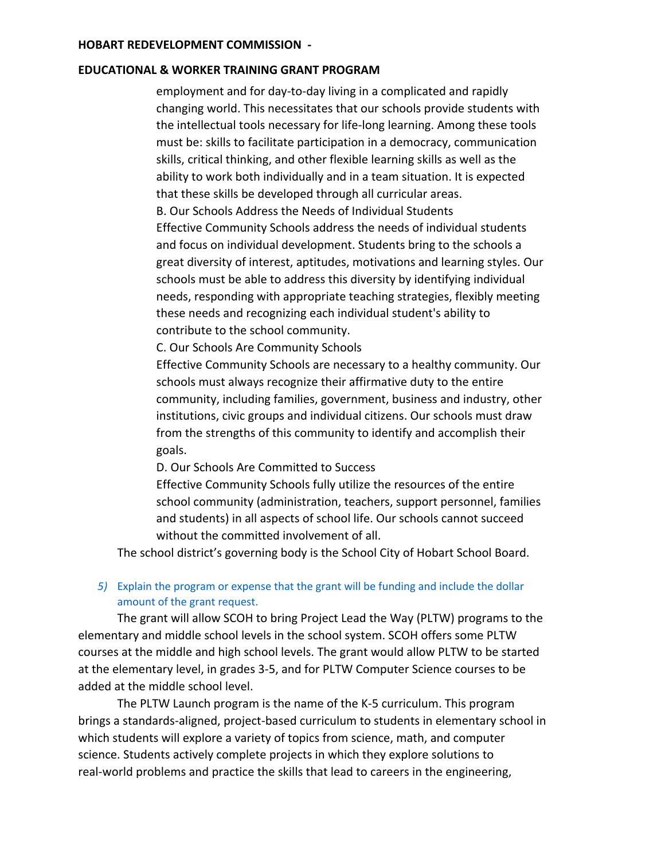#### **EDUCATIONAL & WORKER TRAINING GRANT PROGRAM**

employment and for day-to-day living in a complicated and rapidly changing world. This necessitates that our schools provide students with the intellectual tools necessary for life-long learning. Among these tools must be: skills to facilitate participation in a democracy, communication skills, critical thinking, and other flexible learning skills as well as the ability to work both individually and in a team situation. It is expected that these skills be developed through all curricular areas. B. Our Schools Address the Needs of Individual Students

Effective Community Schools address the needs of individual students and focus on individual development. Students bring to the schools a great diversity of interest, aptitudes, motivations and learning styles. Our schools must be able to address this diversity by identifying individual needs, responding with appropriate teaching strategies, flexibly meeting these needs and recognizing each individual student's ability to contribute to the school community.

C. Our Schools Are Community Schools

Effective Community Schools are necessary to a healthy community. Our schools must always recognize their affirmative duty to the entire community, including families, government, business and industry, other institutions, civic groups and individual citizens. Our schools must draw from the strengths of this community to identify and accomplish their goals.

D. Our Schools Are Committed to Success

Effective Community Schools fully utilize the resources of the entire school community (administration, teachers, support personnel, families and students) in all aspects of school life. Our schools cannot succeed without the committed involvement of all.

The school district's governing body is the School City of Hobart School Board.

### *5)* Explain the program or expense that the grant will be funding and include the dollar amount of the grant request.

The grant will allow SCOH to bring Project Lead the Way (PLTW) programs to the elementary and middle school levels in the school system. SCOH offers some PLTW courses at the middle and high school levels. The grant would allow PLTW to be started at the elementary level, in grades 3-5, and for PLTW Computer Science courses to be added at the middle school level.

The PLTW Launch program is the name of the K-5 curriculum. This program brings a standards-aligned, project-based curriculum to students in elementary school in which students will explore a variety of topics from science, math, and computer science. Students actively complete projects in which they explore solutions to real-world problems and practice the skills that lead to careers in the engineering,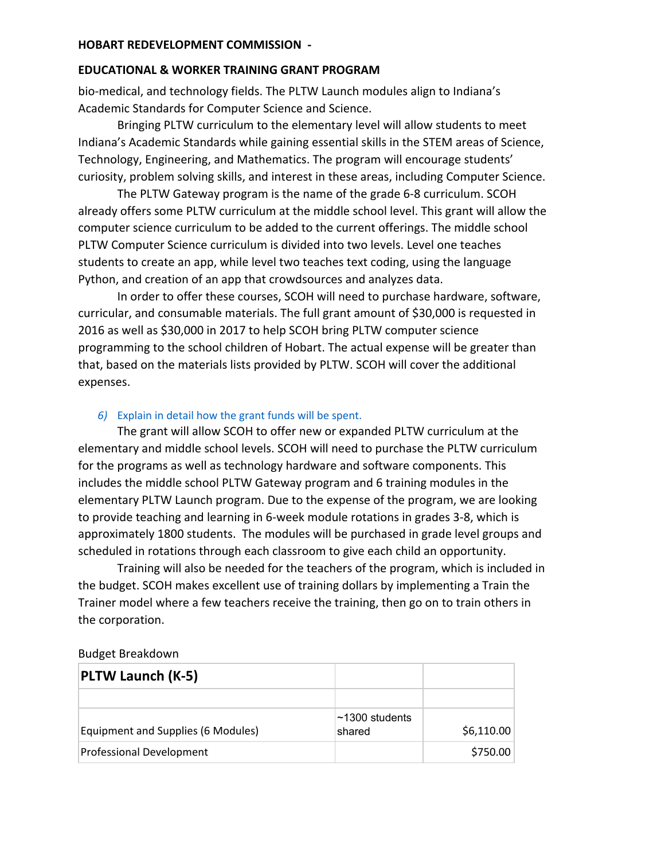## **EDUCATIONAL & WORKER TRAINING GRANT PROGRAM**

bio-medical, and technology fields. The PLTW Launch modules align to Indiana's Academic Standards for Computer Science and Science.

Bringing PLTW curriculum to the elementary level will allow students to meet Indiana's Academic Standards while gaining essential skills in the STEM areas of Science, Technology, Engineering, and Mathematics. The program will encourage students' curiosity, problem solving skills, and interest in these areas, including Computer Science.

The PLTW Gateway program is the name of the grade 6-8 curriculum. SCOH already offers some PLTW curriculum at the middle school level. This grant will allow the computer science curriculum to be added to the current offerings. The middle school PLTW Computer Science curriculum is divided into two levels. Level one teaches students to create an app, while level two teaches text coding, using the language Python, and creation of an app that crowdsources and analyzes data.

In order to offer these courses, SCOH will need to purchase hardware, software, curricular, and consumable materials. The full grant amount of \$30,000 is requested in 2016 as well as \$30,000 in 2017 to help SCOH bring PLTW computer science programming to the school children of Hobart. The actual expense will be greater than that, based on the materials lists provided by PLTW. SCOH will cover the additional expenses.

## *6)* Explain in detail how the grant funds will be spent.

The grant will allow SCOH to offer new or expanded PLTW curriculum at the elementary and middle school levels. SCOH will need to purchase the PLTW curriculum for the programs as well as technology hardware and software components. This includes the middle school PLTW Gateway program and 6 training modules in the elementary PLTW Launch program. Due to the expense of the program, we are looking to provide teaching and learning in 6-week module rotations in grades 3-8, which is approximately 1800 students. The modules will be purchased in grade level groups and scheduled in rotations through each classroom to give each child an opportunity.

Training will also be needed for the teachers of the program, which is included in the budget. SCOH makes excellent use of training dollars by implementing a Train the Trainer model where a few teachers receive the training, then go on to train others in the corporation.

## Budget Breakdown

| <b>PLTW Launch (K-5)</b>           |                           |            |
|------------------------------------|---------------------------|------------|
|                                    |                           |            |
| Equipment and Supplies (6 Modules) | l∼1300 students<br>shared | \$6,110.00 |
| Professional Development           |                           | \$750.00   |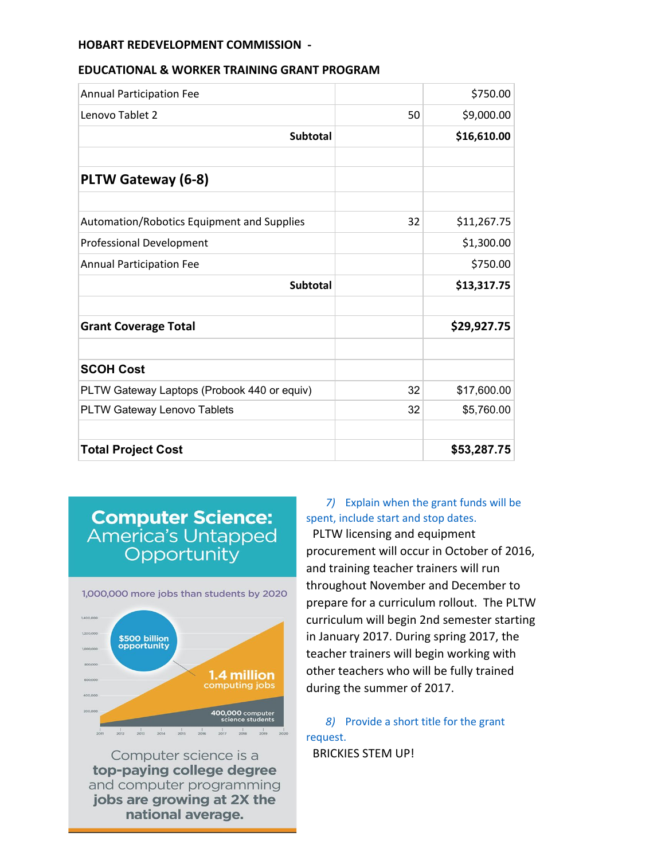#### **EDUCATIONAL & WORKER TRAINING GRANT PROGRAM**

| <b>Annual Participation Fee</b>             |    | \$750.00    |
|---------------------------------------------|----|-------------|
| Lenovo Tablet 2                             | 50 | \$9,000.00  |
| <b>Subtotal</b>                             |    | \$16,610.00 |
| PLTW Gateway (6-8)                          |    |             |
| Automation/Robotics Equipment and Supplies  | 32 | \$11,267.75 |
| Professional Development                    |    | \$1,300.00  |
| <b>Annual Participation Fee</b>             |    | \$750.00    |
| <b>Subtotal</b>                             |    | \$13,317.75 |
| <b>Grant Coverage Total</b>                 |    | \$29,927.75 |
| <b>SCOH Cost</b>                            |    |             |
| PLTW Gateway Laptops (Probook 440 or equiv) | 32 | \$17,600.00 |
| PLTW Gateway Lenovo Tablets                 | 32 | \$5,760.00  |
| <b>Total Project Cost</b>                   |    | \$53,287.75 |

## **Computer Science:**<br>America's Untapped Opportunity



Computer science is a top-paying college degree and computer programming jobs are growing at 2X the national average.

## *7)* Explain when the grant funds will be spent, include start and stop dates.

PLTW licensing and equipment procurement will occur in October of 2016, and training teacher trainers will run throughout November and December to prepare for a curriculum rollout. The PLTW curriculum will begin 2nd semester starting in January 2017. During spring 2017, the teacher trainers will begin working with other teachers who will be fully trained during the summer of 2017.

*8)* Provide a short title for the grant request. BRICKIES STEM UP!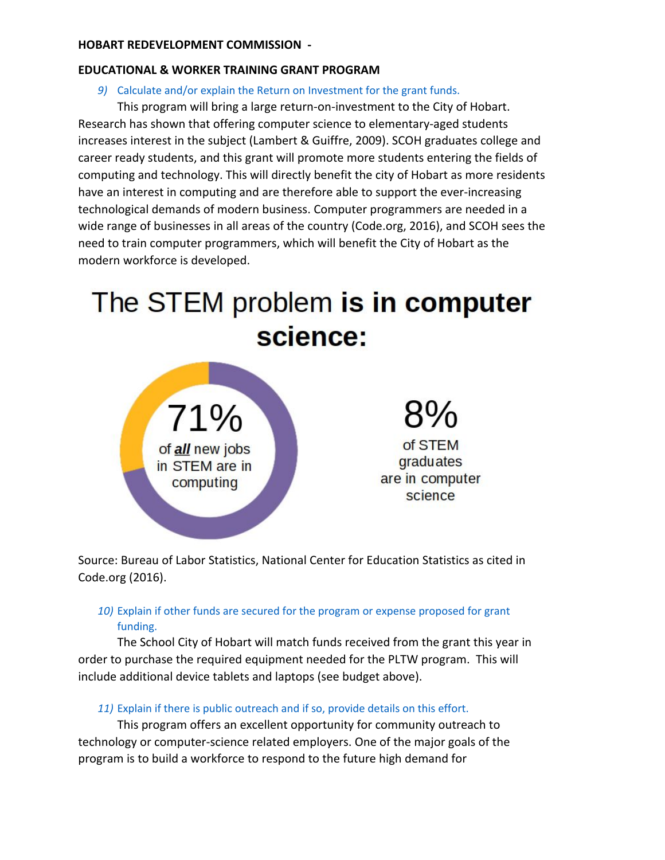## **EDUCATIONAL & WORKER TRAINING GRANT PROGRAM**

## *9)* Calculate and/or explain the Return on Investment for the grant funds.

This program will bring a large return-on-investment to the City of Hobart. Research has shown that offering computer science to elementary-aged students increases interest in the subject (Lambert & Guiffre, 2009). SCOH graduates college and career ready students, and this grant will promote more students entering the fields of computing and technology. This will directly benefit the city of Hobart as more residents have an interest in computing and are therefore able to support the ever-increasing technological demands of modern business. Computer programmers are needed in a wide range of businesses in all areas of the country (Code.org, 2016), and SCOH sees the need to train computer programmers, which will benefit the City of Hobart as the modern workforce is developed.

# The STEM problem is in computer science:



Source: Bureau of Labor Statistics, National Center for Education Statistics as cited in Code.org (2016).

## *10)* Explain if other funds are secured for the program or expense proposed for grant funding.

The School City of Hobart will match funds received from the grant this year in order to purchase the required equipment needed for the PLTW program. This will include additional device tablets and laptops (see budget above).

## *11)* Explain if there is public outreach and if so, provide details on this effort.

This program offers an excellent opportunity for community outreach to technology or computer-science related employers. One of the major goals of the program is to build a workforce to respond to the future high demand for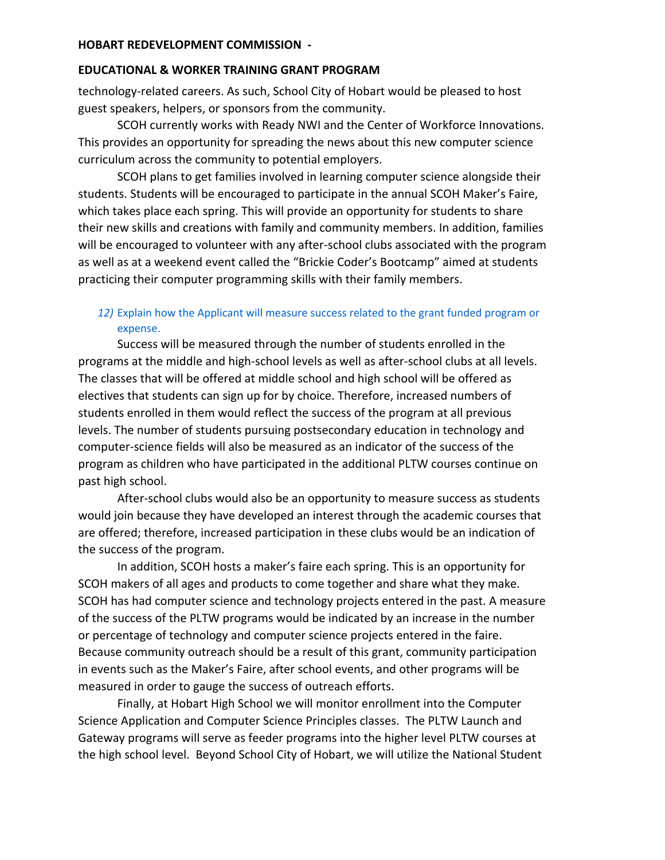#### **EDUCATIONAL & WORKER TRAINING GRANT PROGRAM**

technology-related careers. As such, School City of Hobart would be pleased to host guest speakers, helpers, or sponsors from the community.

SCOH currently works with Ready NWI and the Center of Workforce Innovations. This provides an opportunity for spreading the news about this new computer science curriculum across the community to potential employers.

SCOH plans to get families involved in learning computer science alongside their students. Students will be encouraged to participate in the annual SCOH Maker's Faire, which takes place each spring. This will provide an opportunity for students to share their new skills and creations with family and community members. In addition, families will be encouraged to volunteer with any after-school clubs associated with the program as well as at a weekend event called the "Brickie Coder's Bootcamp" aimed at students practicing their computer programming skills with their family members.

## *12)* Explain how the Applicant will measure success related to the grant funded program or expense.

Success will be measured through the number of students enrolled in the programs at the middle and high-school levels as well as after-school clubs at all levels. The classes that will be offered at middle school and high school will be offered as electives that students can sign up for by choice. Therefore, increased numbers of students enrolled in them would reflect the success of the program at all previous levels. The number of students pursuing postsecondary education in technology and computer-science fields will also be measured as an indicator of the success of the program as children who have participated in the additional PLTW courses continue on past high school.

After-school clubs would also be an opportunity to measure success as students would join because they have developed an interest through the academic courses that are offered; therefore, increased participation in these clubs would be an indication of the success of the program.

In addition, SCOH hosts a maker's faire each spring. This is an opportunity for SCOH makers of all ages and products to come together and share what they make. SCOH has had computer science and technology projects entered in the past. A measure of the success of the PLTW programs would be indicated by an increase in the number or percentage of technology and computer science projects entered in the faire. Because community outreach should be a result of this grant, community participation in events such as the Maker's Faire, after school events, and other programs will be measured in order to gauge the success of outreach efforts.

Finally, at Hobart High School we will monitor enrollment into the Computer Science Application and Computer Science Principles classes. The PLTW Launch and Gateway programs will serve as feeder programs into the higher level PLTW courses at the high school level. Beyond School City of Hobart, we will utilize the National Student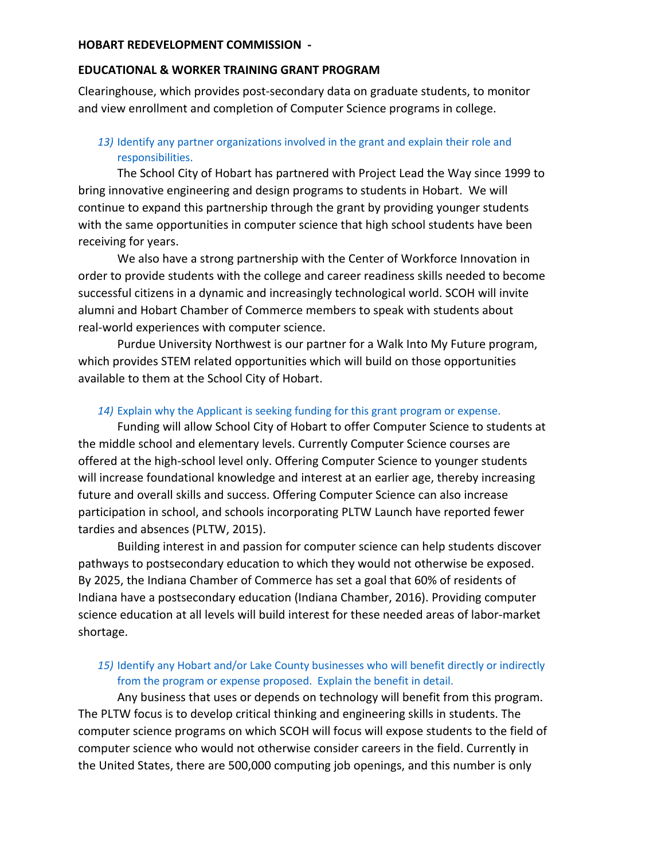## **EDUCATIONAL & WORKER TRAINING GRANT PROGRAM**

Clearinghouse, which provides post-secondary data on graduate students, to monitor and view enrollment and completion of Computer Science programs in college.

## *13)* Identify any partner organizations involved in the grant and explain their role and responsibilities.

The School City of Hobart has partnered with Project Lead the Way since 1999 to bring innovative engineering and design programs to students in Hobart. We will continue to expand this partnership through the grant by providing younger students with the same opportunities in computer science that high school students have been receiving for years.

We also have a strong partnership with the Center of Workforce Innovation in order to provide students with the college and career readiness skills needed to become successful citizens in a dynamic and increasingly technological world. SCOH will invite alumni and Hobart Chamber of Commerce members to speak with students about real-world experiences with computer science.

Purdue University Northwest is our partner for a Walk Into My Future program, which provides STEM related opportunities which will build on those opportunities available to them at the School City of Hobart.

## *14)* Explain why the Applicant is seeking funding for this grant program or expense.

Funding will allow School City of Hobart to offer Computer Science to students at the middle school and elementary levels. Currently Computer Science courses are offered at the high-school level only. Offering Computer Science to younger students will increase foundational knowledge and interest at an earlier age, thereby increasing future and overall skills and success. Offering Computer Science can also increase participation in school, and schools incorporating PLTW Launch have reported fewer tardies and absences (PLTW, 2015).

Building interest in and passion for computer science can help students discover pathways to postsecondary education to which they would not otherwise be exposed. By 2025, the Indiana Chamber of Commerce has set a goal that 60% of residents of Indiana have a postsecondary education (Indiana Chamber, 2016). Providing computer science education at all levels will build interest for these needed areas of labor-market shortage.

## *15)* Identify any Hobart and/or Lake County businesses who will benefit directly or indirectly from the program or expense proposed. Explain the benefit in detail.

Any business that uses or depends on technology will benefit from this program. The PLTW focus is to develop critical thinking and engineering skills in students. The computer science programs on which SCOH will focus will expose students to the field of computer science who would not otherwise consider careers in the field. Currently in the United States, there are 500,000 computing job openings, and this number is only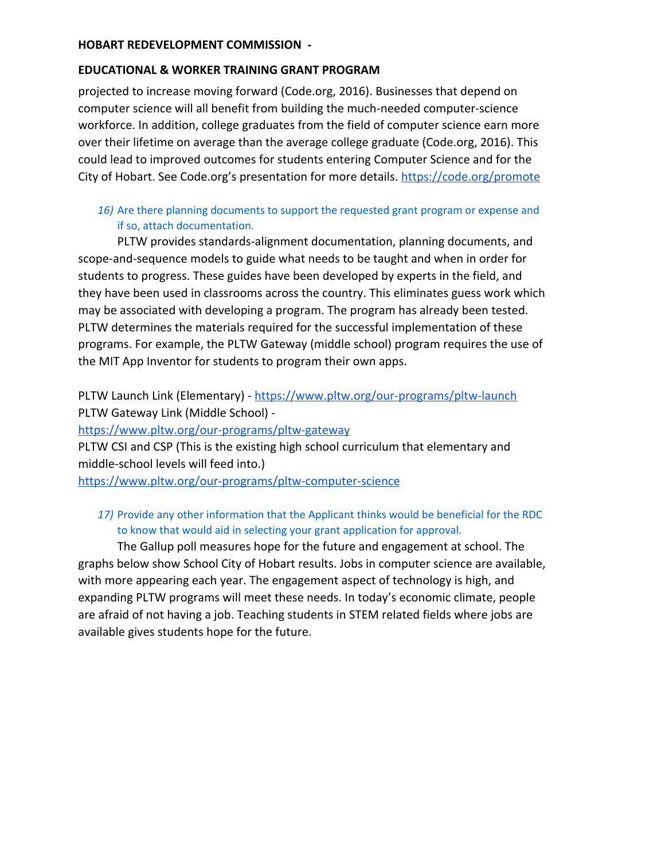#### **EDUCATIONAL & WORKER TRAINING GRANT PROGRAM**

projected to increase moving forward (Code.org, 2016). Businesses that depend on computer science will all benefit from building the much-needed computer-science workforce. In addition, college graduates from the field of computer science earn more over their lifetime on average than the average college graduate (Code.org, 2016). This could lead to improved outcomes for students entering Computer Science and for the City of Hobart. See Code.org's presentation for more details. <https://code.org/promote>

## *16)* Are there planning documents to support the requested grant program or expense and if so, attach documentation.

PLTW provides standards-alignment documentation, planning documents, and scope-and-sequence models to guide what needs to be taught and when in order for students to progress. These guides have been developed by experts in the field, and they have been used in classrooms across the country. This eliminates guess work which may be associated with developing a program. The program has already been tested. PLTW determines the materials required for the successful implementation of these programs. For example, the PLTW Gateway (middle school) program requires the use of the MIT App Inventor for students to program their own apps.

PLTW Launch Link (Elementary) - <https://www.pltw.org/our-programs/pltw-launch> PLTW Gateway Link (Middle School) -

<https://www.pltw.org/our-programs/pltw-gateway>

PLTW CSI and CSP (This is the existing high school curriculum that elementary and middle-school levels will feed into.)

<https://www.pltw.org/our-programs/pltw-computer-science>

### *17)* Provide any other information that the Applicant thinks would be beneficial for the RDC to know that would aid in selecting your grant application for approval.

The Gallup poll measures hope for the future and engagement at school. The graphs below show School City of Hobart results. Jobs in computer science are available, with more appearing each year. The engagement aspect of technology is high, and expanding PLTW programs will meet these needs. In today's economic climate, people are afraid of not having a job. Teaching students in STEM related fields where jobs are available gives students hope for the future.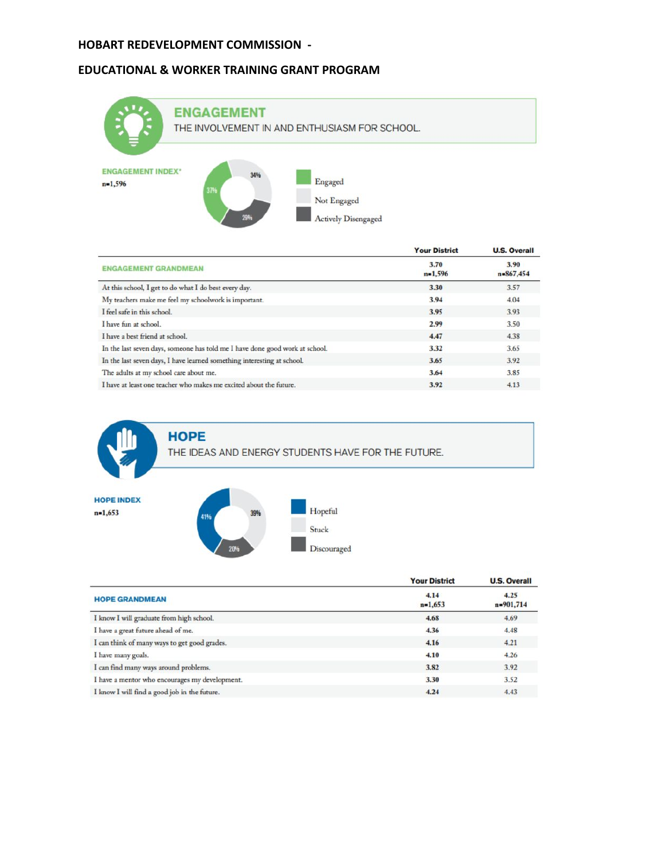#### **EDUCATIONAL & WORKER TRAINING GRANT PROGRAM**



|                                                                              | <b>Your District</b> | <b>U.S. Overall</b>    |
|------------------------------------------------------------------------------|----------------------|------------------------|
| <b>ENGAGEMENT GRANDMEAN</b>                                                  | 3.70<br>$n=1,596$    | 3.90<br>$n = 867, 454$ |
| At this school, I get to do what I do best every day.                        | 3.30                 | 3.57                   |
| My teachers make me feel my schoolwork is important.                         | 3.94                 | 4.04                   |
| I feel safe in this school.                                                  | 3.95                 | 3.93                   |
| I have fun at school.                                                        | 2.99                 | 3.50                   |
| I have a best friend at school.                                              | 4.47                 | 4.38                   |
| In the last seven days, someone has told me I have done good work at school. | 3.32                 | 3.65                   |
| In the last seven days, I have learned something interesting at school.      | 3.65                 | 3.92                   |
| The adults at my school care about me.                                       | 3.64                 | 3.85                   |
| I have at least one teacher who makes me excited about the future.           | 3.92                 | 4.13                   |
|                                                                              |                      |                        |

**HOPE** THE IDEAS AND ENERGY STUDENTS HAVE FOR THE FUTURE.

**HOPE INDEX**  $n=1,653$ 

|                                                | <b>Your District</b> | <b>U.S. Overall</b> |
|------------------------------------------------|----------------------|---------------------|
| <b>HOPE GRANDMEAN</b>                          | 4.14<br>$n=1,653$    | 4.25<br>n=901,714   |
| I know I will graduate from high school.       | 4.68                 | 4.69                |
| I have a great future ahead of me.             | 4.36                 | 4.48                |
| I can think of many ways to get good grades.   | 4.16                 | 4.21                |
| I have many goals.                             | 4.10                 | 4.26                |
| I can find many ways around problems.          | 3.82                 | 3.92                |
| I have a mentor who encourages my development. | 3.30                 | 3.52                |
| I know I will find a good job in the future.   | 4.24                 | 4.43                |

Hopeful

Discouraged

Stuck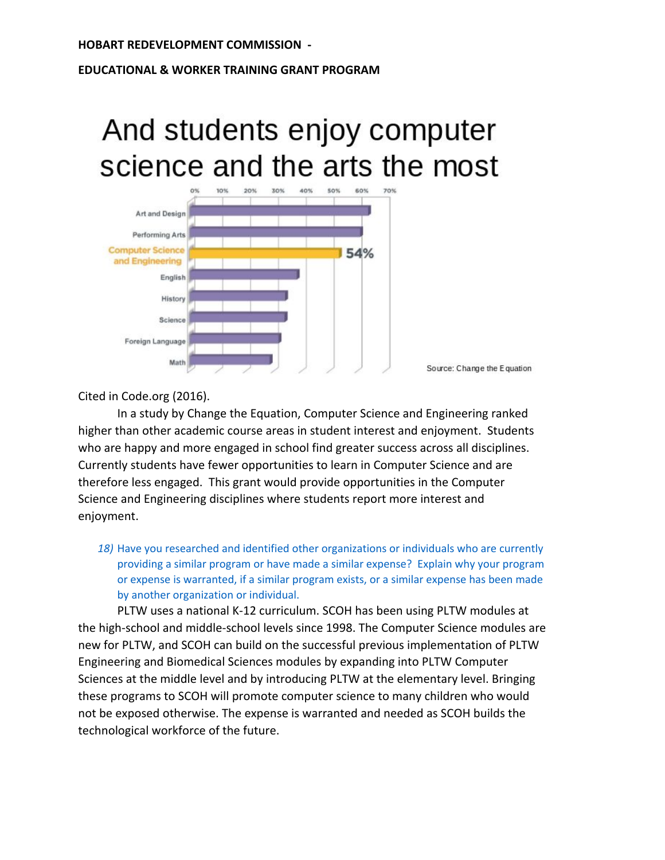#### **EDUCATIONAL & WORKER TRAINING GRANT PROGRAM**

# And students enjoy computer science and the arts the most



Cited in Code.org (2016).

In a study by Change the Equation, Computer Science and Engineering ranked higher than other academic course areas in student interest and enjoyment. Students who are happy and more engaged in school find greater success across all disciplines. Currently students have fewer opportunities to learn in Computer Science and are therefore less engaged. This grant would provide opportunities in the Computer Science and Engineering disciplines where students report more interest and enjoyment.

*18)* Have you researched and identified other organizations or individuals who are currently providing a similar program or have made a similar expense? Explain why your program or expense is warranted, if a similar program exists, or a similar expense has been made by another organization or individual.

PLTW uses a national K-12 curriculum. SCOH has been using PLTW modules at the high-school and middle-school levels since 1998. The Computer Science modules are new for PLTW, and SCOH can build on the successful previous implementation of PLTW Engineering and Biomedical Sciences modules by expanding into PLTW Computer Sciences at the middle level and by introducing PLTW at the elementary level. Bringing these programs to SCOH will promote computer science to many children who would not be exposed otherwise. The expense is warranted and needed as SCOH builds the technological workforce of the future.